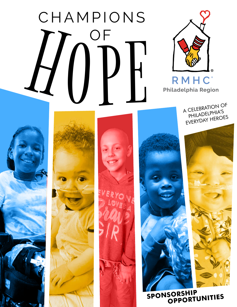# **CHAMPIONS**  $\iint_{\mathbb{R}} \int_{\mathbb{R}} \prod_{\text{mHcc}}^{\text{out}} \left[ \frac{\sum_{\text{mHcc}}^{\text{out}}}{\sum_{\text{mHcc}}^{\text{in}} \sum_{\text{mHcc}}^{\text{out}} \sum_{\text{mHcc}}^{\text{out}} } \right]$



A CELEBRATION OF PHILADELPHIA'S EVERYDAY HEROES











**SPONSORSHIP OPPORTUNITIES**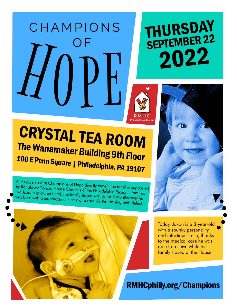# **CHAMPIONS** OF H0PE

## THURSDAY SEPTEMBER 22 2022



## CRYSTAL TEA ROOM The Wanamaker Building 9th Floor 100 E Penn Square | Philadelphia, PA 19107

All funds raised at Champions of Hope directly benefit the families supported by Ronald McDonald House Charities of the Philadelphia Region—families like Jaxon's (pictured here). His family stayed with us for 3 months after he was born with a diaphragmatic hernia, a rare life-threatening birth defect.



Today, Jaxon is a 3-year-old with a spunky personality and infectious smile, thanks to the medical care he was able to receive while his family stayed at the House.

RMHCphilly.org/Champions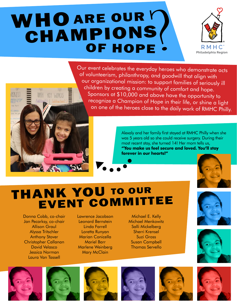## WHO ARE OUR Y **CHAMPIONS**



Our event celebrates the everyday heroes who demonstrate acts of volunteerism, philanthropy, and goodwill that align with our organizational mission: to support families of seriously ill children by creating a community of comfort and hope. Sponsors at \$10,000 and above have the opportunity to recognize a Champion of Hope in their life, or shine a light on one of the heroes close to the daily work of RMHC Philly.

> Alexaly and her family first stayed at RMHC Philly when she was 5 years old so she could receive surgery. During their most recent stay, she turned 14! Her mom tells us, **"You make us feel secure and loved. You'll stay forever in our hearts!"**



## THANK YOU TO OUR EVENT COMMITTEE

Donna Cobb, co-chair Jan Pecarksy, co-chair Allison Graul Alyssa Tritschler Anthony Stover Christopher Callanan David Velasco Jessica Norman Laura Van Tassell

KEY WORDS

Lawrence Jacobson Leonard Bernstein Linda Farrell Loretta Runyan Marian Conicella Mariel Barr Marlene Weinberg **Mary McClain** 

Michael E. Kelly Michael Menkowitz Salli Mickelberg Sherri Krensel Suzi Gross Susan Campbell Thomas Servello















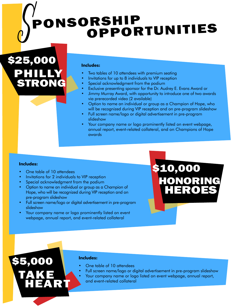## $\int_{0}^{1}$ PONSORSHIP OPPORTUNITIES

\$25,000 PHILLY STRONG

#### **Includes:**

- Two tables of 10 attendees with premium seating
- Invitations for up to 8 individuals to VIP reception
- Special acknowledgment from the podium
- Exclusive presenting sponsor for the Dr. Audrey E. Evans Award or
- Jimmy Murray Award, with opportunity to introduce one of two awards via prerecorded video (2 available)
- Option to name an individual or group as a Champion of Hope, who will be recognized during VIP reception and on pre-program slideshow
- Full screen name/logo or digital advertisement in pre-program slideshow
- Your company name or logo prominently listed on event webpage, annual report, event-related collateral, and on Champions of Hope awards

#### **Includes:**

\$5,000

TAKE

- One table of 10 attendees
- Invitations for 2 individuals to VIP reception
- Special acknowledgment from the podium

HEART

- Option to name an individual or group as a Champion of Hope, who will be recognized during VIP reception and on pre-program slideshow
- Full screen name/logo or digital advertisement in pre-program slideshow
- Your company name or logo prominently listed on event webpage, annual report, and event-related collateral

\$10,000 HONORING **HEROES** 

#### **Includes:**

- One table of 10 attendees
- Full screen name/logo or digital advertisement in pre-program slideshow
	- Your company name or logo listed on event webpage, annual report, and event-related collateral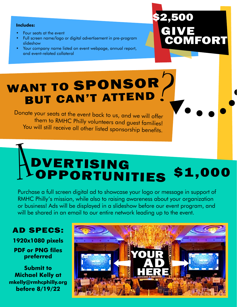#### **Includes:**

- Four seats at the event
- Full screen name/logo or digital advertisement in pre-program slideshow
- Your company name listed on event webpage, annual report, and event-related collateral

### 2,500 GIVE **OMFORT**

## WANT TO SPONSOR BUT CAN'T ATTEND

Donate your seats at the event back to us, and we will offer them to RMHC Philly volunteers and guest families! You will still receive all other listed sponsorship benefits.

### A DVERTISING **LOPPORTUNITIES** \$1,000

Purchase a full screen digital ad to showcase your logo or message in support of RMHC Philly's mission, while also to raising awareness about your organization or business! Ads will be displayed in a slideshow before our event program, and will be shared in an email to our entire network leading up to the event.

#### AD SPECS:

**1920x1080 pixels**

**PDF or PNG files preferred**

**Submit to Michael Kelly at mkelly@rmhcphilly.org before 8/19/22**